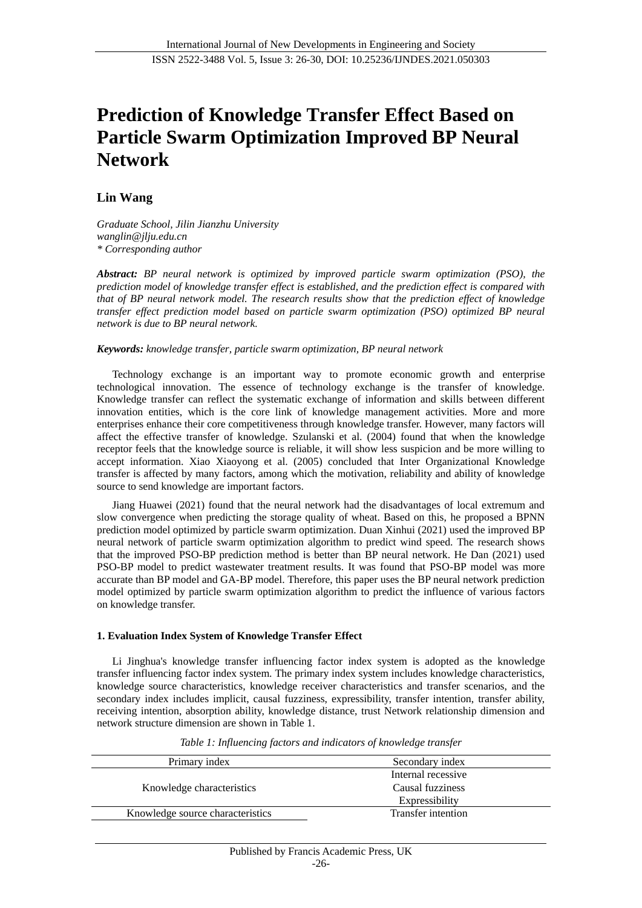# **Prediction of Knowledge Transfer Effect Based on Particle Swarm Optimization Improved BP Neural Network**

# **Lin Wang**

*Graduate School, Jilin Jianzhu University wanglin@jlju.edu.cn \* Corresponding author*

*Abstract: BP neural network is optimized by improved particle swarm optimization (PSO), the prediction model of knowledge transfer effect is established, and the prediction effect is compared with that of BP neural network model. The research results show that the prediction effect of knowledge transfer effect prediction model based on particle swarm optimization (PSO) optimized BP neural network is due to BP neural network.*

#### *Keywords: knowledge transfer, particle swarm optimization, BP neural network*

Technology exchange is an important way to promote economic growth and enterprise technological innovation. The essence of technology exchange is the transfer of knowledge. Knowledge transfer can reflect the systematic exchange of information and skills between different innovation entities, which is the core link of knowledge management activities. More and more enterprises enhance their core competitiveness through knowledge transfer. However, many factors will affect the effective transfer of knowledge. Szulanski et al. (2004) found that when the knowledge receptor feels that the knowledge source is reliable, it will show less suspicion and be more willing to accept information. Xiao Xiaoyong et al. (2005) concluded that Inter Organizational Knowledge transfer is affected by many factors, among which the motivation, reliability and ability of knowledge source to send knowledge are important factors.

Jiang Huawei (2021) found that the neural network had the disadvantages of local extremum and slow convergence when predicting the storage quality of wheat. Based on this, he proposed a BPNN prediction model optimized by particle swarm optimization. Duan Xinhui (2021) used the improved BP neural network of particle swarm optimization algorithm to predict wind speed. The research shows that the improved PSO-BP prediction method is better than BP neural network. He Dan (2021) used PSO-BP model to predict wastewater treatment results. It was found that PSO-BP model was more accurate than BP model and GA-BP model. Therefore, this paper uses the BP neural network prediction model optimized by particle swarm optimization algorithm to predict the influence of various factors on knowledge transfer.

#### **1. Evaluation Index System of Knowledge Transfer Effect**

Li Jinghua's knowledge transfer influencing factor index system is adopted as the knowledge transfer influencing factor index system. The primary index system includes knowledge characteristics, knowledge source characteristics, knowledge receiver characteristics and transfer scenarios, and the secondary index includes implicit, causal fuzziness, expressibility, transfer intention, transfer ability, receiving intention, absorption ability, knowledge distance, trust Network relationship dimension and network structure dimension are shown in Table 1.

| Primary index                    | Secondary index    |
|----------------------------------|--------------------|
|                                  | Internal recessive |
| Knowledge characteristics        | Causal fuzziness   |
|                                  | Expressibility     |
| Knowledge source characteristics | Transfer intention |

*Table 1: Influencing factors and indicators of knowledge transfer*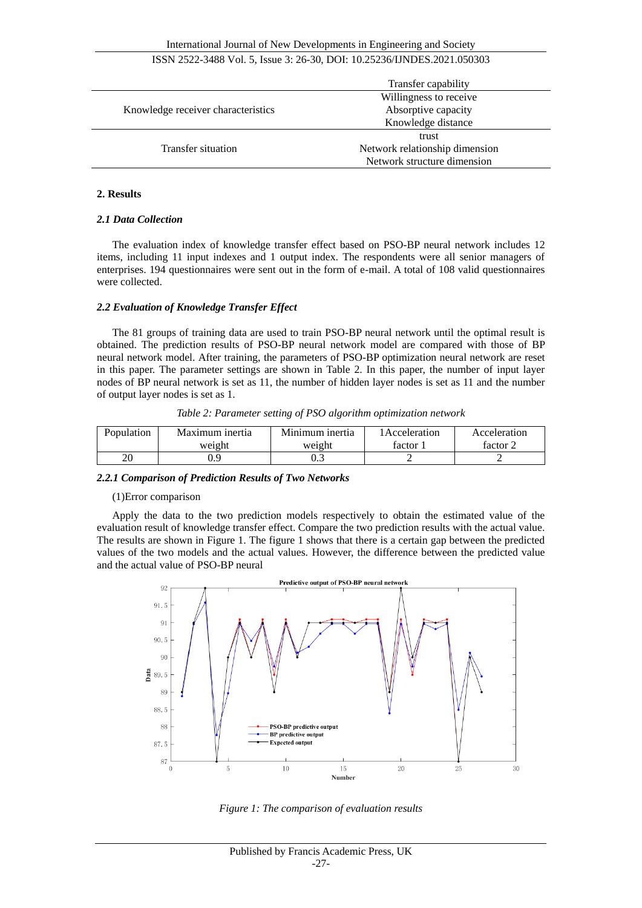# ISSN 2522-3488 Vol. 5, Issue 3: 26-30, DOI: 10.25236/IJNDES.2021.050303

|                                    | Transfer capability            |  |
|------------------------------------|--------------------------------|--|
|                                    | Willingness to receive         |  |
| Knowledge receiver characteristics | Absorptive capacity            |  |
|                                    | Knowledge distance             |  |
|                                    | trust                          |  |
| Transfer situation                 | Network relationship dimension |  |
|                                    | Network structure dimension    |  |

### **2. Results**

#### *2.1 Data Collection*

The evaluation index of knowledge transfer effect based on PSO-BP neural network includes 12 items, including 11 input indexes and 1 output index. The respondents were all senior managers of enterprises. 194 questionnaires were sent out in the form of e-mail. A total of 108 valid questionnaires were collected.

#### *2.2 Evaluation of Knowledge Transfer Effect*

The 81 groups of training data are used to train PSO-BP neural network until the optimal result is obtained. The prediction results of PSO-BP neural network model are compared with those of BP neural network model. After training, the parameters of PSO-BP optimization neural network are reset in this paper. The parameter settings are shown in Table 2. In this paper, the number of input layer nodes of BP neural network is set as 11, the number of hidden layer nodes is set as 11 and the number of output layer nodes is set as 1.

|  |  |  |  |  | Table 2: Parameter setting of PSO algorithm optimization network |  |
|--|--|--|--|--|------------------------------------------------------------------|--|
|--|--|--|--|--|------------------------------------------------------------------|--|

| Population | Maximum inertia | Minimum inertia | l Acceleration. | Acceleration |
|------------|-----------------|-----------------|-----------------|--------------|
|            | weight          | weight          | factor          | factor 2     |
| ንር         |                 | ∪.J             |                 |              |

#### *2.2.1 Comparison of Prediction Results of Two Networks*

#### (1)Error comparison

Apply the data to the two prediction models respectively to obtain the estimated value of the evaluation result of knowledge transfer effect. Compare the two prediction results with the actual value. The results are shown in Figure 1. The figure 1 shows that there is a certain gap between the predicted values of the two models and the actual values. However, the difference between the predicted value and the actual value of PSO-BP neural



*Figure 1: The comparison of evaluation results*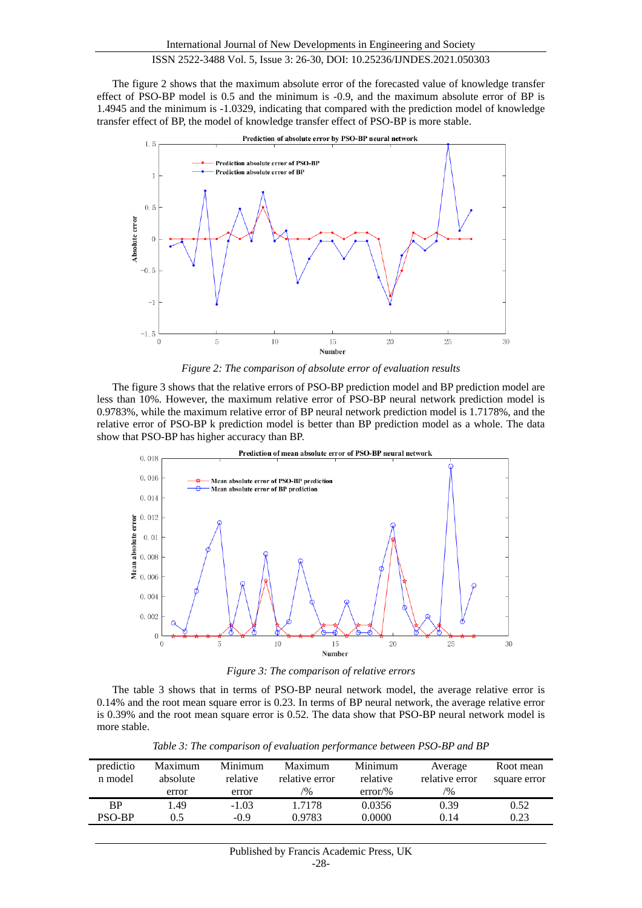# ISSN 2522-3488 Vol. 5, Issue 3: 26-30, DOI: 10.25236/IJNDES.2021.050303

The figure 2 shows that the maximum absolute error of the forecasted value of knowledge transfer effect of PSO-BP model is 0.5 and the minimum is -0.9, and the maximum absolute error of BP is 1.4945 and the minimum is -1.0329, indicating that compared with the prediction model of knowledge transfer effect of BP, the model of knowledge transfer effect of PSO-BP is more stable.



*Figure 2: The comparison of absolute error of evaluation results*

The figure 3 shows that the relative errors of PSO-BP prediction model and BP prediction model are less than 10%. However, the maximum relative error of PSO-BP neural network prediction model is 0.9783%, while the maximum relative error of BP neural network prediction model is 1.7178%, and the relative error of PSO-BP k prediction model is better than BP prediction model as a whole. The data show that PSO-BP has higher accuracy than BP.



*Figure 3: The comparison of relative errors* 

The table 3 shows that in terms of PSO-BP neural network model, the average relative error is 0.14% and the root mean square error is 0.23. In terms of BP neural network, the average relative error is 0.39% and the root mean square error is 0.52. The data show that PSO-BP neural network model is more stable.

| predictio<br>n model | Maximum<br>absolute<br>error | Minimum<br>relative<br>error | Maximum<br>relative error<br>$\frac{10}{6}$ | Minimum<br>relative<br>$error\%$ | Average<br>relative error<br>$\frac{10}{6}$ | Root mean<br>square error |
|----------------------|------------------------------|------------------------------|---------------------------------------------|----------------------------------|---------------------------------------------|---------------------------|
| ВP                   | l 49                         | $-1.03$                      | 1.7178                                      | 0.0356                           | 0.39                                        | 0.52                      |
| <b>PSO-BP</b>        | 0.5                          | $-0.9$                       | 0.9783                                      | 0.0000                           | 0.14                                        | 0.23                      |

*Table 3: The comparison of evaluation performance between PSO-BP and BP*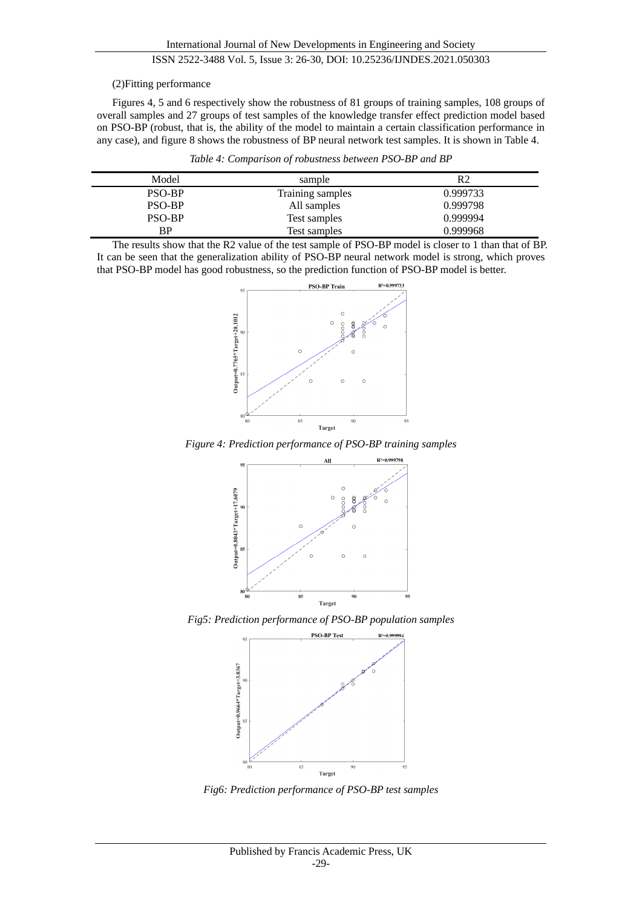# ISSN 2522-3488 Vol. 5, Issue 3: 26-30, DOI: 10.25236/IJNDES.2021.050303

#### (2)Fitting performance

Figures 4, 5 and 6 respectively show the robustness of 81 groups of training samples, 108 groups of overall samples and 27 groups of test samples of the knowledge transfer effect prediction model based on PSO-BP (robust, that is, the ability of the model to maintain a certain classification performance in any case), and figure 8 shows the robustness of BP neural network test samples. It is shown in Table 4.

*Table 4: Comparison of robustness between PSO-BP and BP* 

| Model  | sample           | R2       |
|--------|------------------|----------|
| PSO-BP | Training samples | 0.999733 |
| PSO-BP | All samples      | 0.999798 |
| PSO-BP | Test samples     | 0.999994 |
| BP.    | Test samples     | 0.999968 |

The results show that the R2 value of the test sample of PSO-BP model is closer to 1 than that of BP. It can be seen that the generalization ability of PSO-BP neural network model is strong, which proves that PSO-BP model has good robustness, so the prediction function of PSO-BP model is better.



*Figure 4: Prediction performance of PSO-BP training samples*



*Fig5: Prediction performance of PSO-BP population samples*



*Fig6: Prediction performance of PSO-BP test samples*